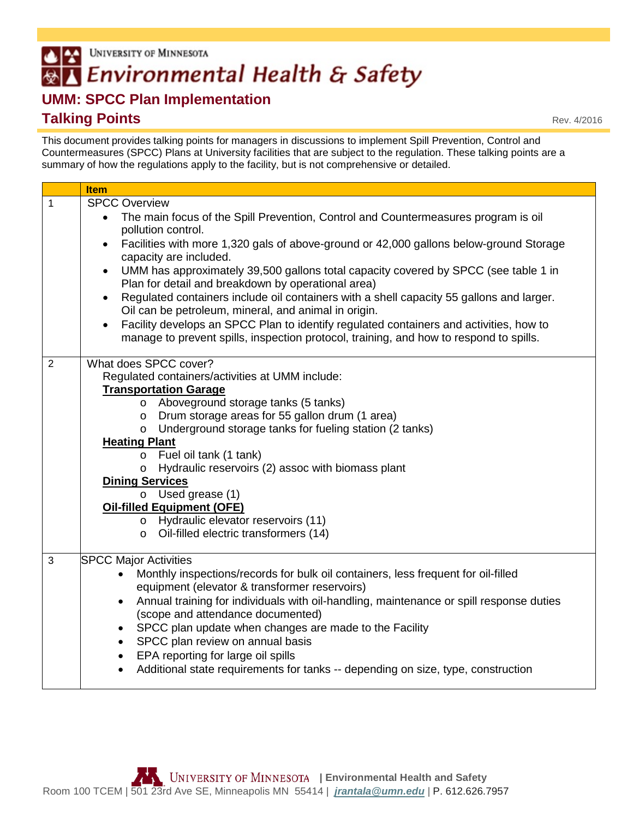## UNIVERSITY OF MINNESOTA  $\triangle$   $\approx$ **AZ Environmental Health & Safety**

## **UMM: SPCC Plan Implementation Talking Points**

This document provides talking points for managers in discussions to implement Spill Prevention, Control and Countermeasures (SPCC) Plans at University facilities that are subject to the regulation. These talking points are a summary of how the regulations apply to the facility, but is not comprehensive or detailed.

|                | <b>Item</b>                                                                                                                                                                                                                                                                                                                                                                                                                                                                                                                                                                                                                                                                                                                                                                                   |
|----------------|-----------------------------------------------------------------------------------------------------------------------------------------------------------------------------------------------------------------------------------------------------------------------------------------------------------------------------------------------------------------------------------------------------------------------------------------------------------------------------------------------------------------------------------------------------------------------------------------------------------------------------------------------------------------------------------------------------------------------------------------------------------------------------------------------|
|                |                                                                                                                                                                                                                                                                                                                                                                                                                                                                                                                                                                                                                                                                                                                                                                                               |
| $\mathbf{1}$   | <b>SPCC Overview</b><br>The main focus of the Spill Prevention, Control and Countermeasures program is oil<br>$\bullet$<br>pollution control.<br>Facilities with more 1,320 gals of above-ground or 42,000 gallons below-ground Storage<br>$\bullet$<br>capacity are included.<br>UMM has approximately 39,500 gallons total capacity covered by SPCC (see table 1 in<br>$\bullet$<br>Plan for detail and breakdown by operational area)<br>Regulated containers include oil containers with a shell capacity 55 gallons and larger.<br>Oil can be petroleum, mineral, and animal in origin.<br>Facility develops an SPCC Plan to identify regulated containers and activities, how to<br>$\bullet$<br>manage to prevent spills, inspection protocol, training, and how to respond to spills. |
| $\overline{2}$ | What does SPCC cover?<br>Regulated containers/activities at UMM include:<br><b>Transportation Garage</b><br>o Aboveground storage tanks (5 tanks)<br>Drum storage areas for 55 gallon drum (1 area)<br>$\circ$<br>Underground storage tanks for fueling station (2 tanks)<br>$\circ$<br><b>Heating Plant</b><br>o Fuel oil tank (1 tank)<br>Hydraulic reservoirs (2) assoc with biomass plant<br>$\circ$<br><b>Dining Services</b><br>$\circ$ Used grease (1)<br><b>Oil-filled Equipment (OFE)</b><br>o Hydraulic elevator reservoirs (11)<br>Oil-filled electric transformers (14)<br>$\circ$                                                                                                                                                                                                |
| $\mathbf{3}$   | <b>SPCC Major Activities</b><br>Monthly inspections/records for bulk oil containers, less frequent for oil-filled<br>equipment (elevator & transformer reservoirs)<br>Annual training for individuals with oil-handling, maintenance or spill response duties<br>$\bullet$<br>(scope and attendance documented)<br>SPCC plan update when changes are made to the Facility<br>SPCC plan review on annual basis<br>$\bullet$<br>EPA reporting for large oil spills<br>$\bullet$<br>Additional state requirements for tanks -- depending on size, type, construction                                                                                                                                                                                                                             |